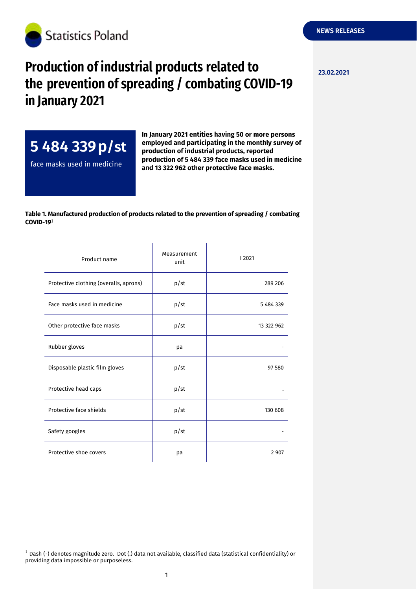

## **Production of industrial products related to**  $_{23.02.2021}$ **the prevention of spreading / combating COVID-19 in January 2021**



-

**In January 2021 entities having 50 or more persons employed and participating in the monthly survey of production of industrial products, reported production of 5 484 339 face masks used in medicine and 13 322 962 other protective face masks.**

## **Table 1. Manufactured production of products related to the prevention of spreading / combating COVID-19**

| Product name                           | Measurement<br>unit | 2021       |
|----------------------------------------|---------------------|------------|
| Protective clothing (overalls, aprons) | p/st                | 289 206    |
| Face masks used in medicine            | p/st                | 5 484 339  |
| Other protective face masks            | p/st                | 13 322 962 |
| Rubber gloves                          | pa                  |            |
| Disposable plastic film gloves         | p/st                | 97 580     |
| Protective head caps                   | p/st                |            |
| Protective face shields                | p/st                | 130 608    |
| Safety googles                         | p/st                |            |
| Protective shoe covers                 | pa                  | 2 9 0 7    |

 $^{-1}$  Dash (-) denotes magnitude zero. Dot (.) data not available, classified data (statistical confidentiality) or providing data impossible or purposeless.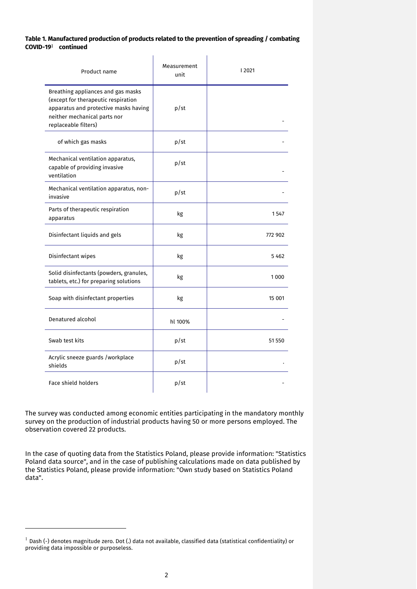## **Table 1. Manufactured production of products related to the prevention of spreading / combating COVID-19 continued**

| Product name                                                                                                                                                               | Measurement<br>unit | 2021    |
|----------------------------------------------------------------------------------------------------------------------------------------------------------------------------|---------------------|---------|
| Breathing appliances and gas masks<br>(except for therapeutic respiration<br>apparatus and protective masks having<br>neither mechanical parts nor<br>replaceable filters) | p/st                |         |
| of which gas masks                                                                                                                                                         | p/st                |         |
| Mechanical ventilation apparatus,<br>capable of providing invasive<br>ventilation                                                                                          | p/st                |         |
| Mechanical ventilation apparatus, non-<br>invasive                                                                                                                         | p/st                |         |
| Parts of therapeutic respiration<br>apparatus                                                                                                                              | kg                  | 1547    |
| Disinfectant liquids and gels                                                                                                                                              | kg                  | 772 902 |
| Disinfectant wipes                                                                                                                                                         | kg                  | 5 4 6 2 |
| Solid disinfectants (powders, granules,<br>tablets, etc.) for preparing solutions                                                                                          | kg                  | 1000    |
| Soap with disinfectant properties                                                                                                                                          | kg                  | 15 001  |
| Denatured alcohol                                                                                                                                                          | hl 100%             |         |
| Swab test kits                                                                                                                                                             | p/st                | 51 550  |
| Acrylic sneeze guards /workplace<br>shields                                                                                                                                | p/st                |         |
| Face shield holders                                                                                                                                                        | p/st                |         |

The survey was conducted among economic entities participating in the mandatory monthly survey on the production of industrial products having 50 or more persons employed. The observation covered 22 products.

In the case of quoting data from the Statistics Poland, please provide information: "Statistics Poland data source", and in the case of publishing calculations made on data published by the Statistics Poland, please provide information: "Own study based on Statistics Poland data".

-

 $^1$  Dash (-) denotes magnitude zero. Dot (.) data not available, classified data (statistical confidentiality) or providing data impossible or purposeless.